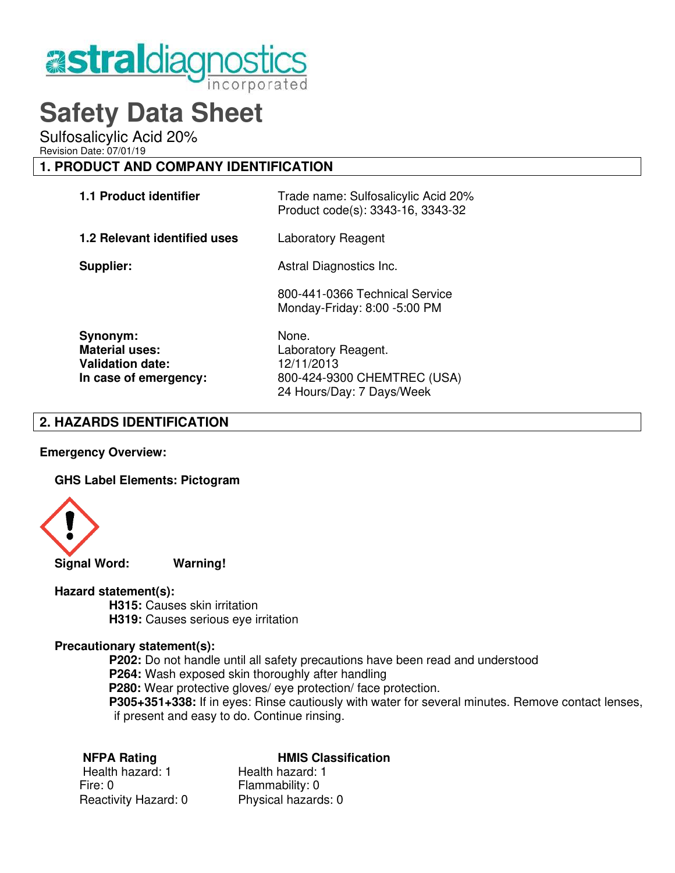

# **Safety Data Sheet**

Sulfosalicylic Acid 20%

Revision Date: 07/01/19

# **1. PRODUCT AND COMPANY IDENTIFICATION**

| <b>1.1 Product identifier</b>       | Trade name: Sulfosalicylic Acid 20%<br>Product code(s): 3343-16, 3343-32 |
|-------------------------------------|--------------------------------------------------------------------------|
| <b>1.2 Relevant identified uses</b> | Laboratory Reagent                                                       |
| Supplier:                           | Astral Diagnostics Inc.                                                  |
|                                     | 800-441-0366 Technical Service<br>Monday-Friday: 8:00 -5:00 PM           |
| Synonym:                            | None.                                                                    |
| <b>Material uses:</b>               | Laboratory Reagent.                                                      |
| <b>Validation date:</b>             | 12/11/2013                                                               |
| In case of emergency:               | 800-424-9300 CHEMTREC (USA)                                              |

## **2. HAZARDS IDENTIFICATION**

**Emergency Overview:** 

**GHS Label Elements: Pictogram**



## **Hazard statement(s):**

 **H315:** Causes skin irritation **H319:** Causes serious eye irritation

## **Precautionary statement(s):**

 **P202:** Do not handle until all safety precautions have been read and understood **P264:** Wash exposed skin thoroughly after handling **P280:** Wear protective gloves/ eye protection/ face protection. **P305+351+338:** If in eyes: Rinse cautiously with water for several minutes. Remove contact lenses, if present and easy to do. Continue rinsing.

24 Hours/Day: 7 Days/Week

#### **NFPA Rating Communist Classification**

Health hazard: 1 Health hazard: 1 Fire: 0 Fire: 0 Flammability: 0 Reactivity Hazard: 0 Physical hazards: 0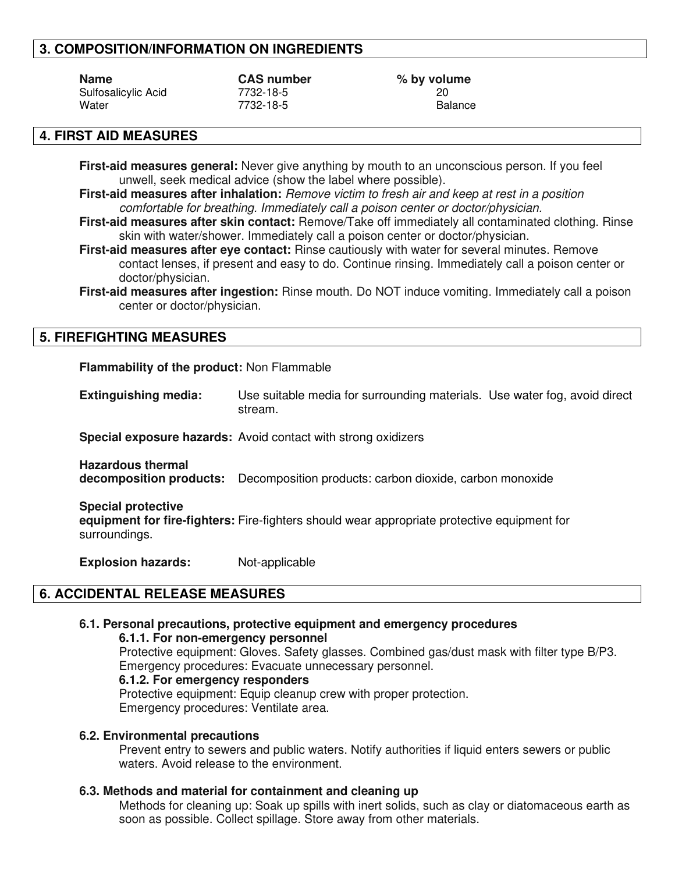# **3. COMPOSITION/INFORMATION ON INGREDIENTS**

| <b>Name</b>         |  |
|---------------------|--|
| Sulfosalicylic Acid |  |
| Water               |  |

Sulfosalicylic Acid 7732-18-5 20

**CAS number**  $\%$  **by volume** 7732-18-5 **Balance** 

# **4. FIRST AID MEASURES**

**First-aid measures general:** Never give anything by mouth to an unconscious person. If you feel unwell, seek medical advice (show the label where possible).

**First-aid measures after inhalation:** Remove victim to fresh air and keep at rest in a position comfortable for breathing. Immediately call a poison center or doctor/physician.

**First-aid measures after skin contact:** Remove/Take off immediately all contaminated clothing. Rinse skin with water/shower. Immediately call a poison center or doctor/physician.

**First-aid measures after eye contact:** Rinse cautiously with water for several minutes. Remove contact lenses, if present and easy to do. Continue rinsing. Immediately call a poison center or doctor/physician.

**First-aid measures after ingestion:** Rinse mouth. Do NOT induce vomiting. Immediately call a poison center or doctor/physician.

# **5. FIREFIGHTING MEASURES**

**Flammability of the product:** Non Flammable

**Extinguishing media:** Use suitable media for surrounding materials. Use water fog, avoid direct stream.

**Special exposure hazards:** Avoid contact with strong oxidizers

**Hazardous thermal decomposition products:** Decomposition products: carbon dioxide, carbon monoxide

**Special protective**

**equipment for fire-fighters:** Fire-fighters should wear appropriate protective equipment for surroundings.

**Explosion hazards:** Not-applicable

# **6. ACCIDENTAL RELEASE MEASURES**

# **6.1. Personal precautions, protective equipment and emergency procedures**

#### **6.1.1. For non-emergency personnel**

 Protective equipment: Gloves. Safety glasses. Combined gas/dust mask with filter type B/P3. Emergency procedures: Evacuate unnecessary personnel.

#### **6.1.2. For emergency responders**

Protective equipment: Equip cleanup crew with proper protection. Emergency procedures: Ventilate area.

#### **6.2. Environmental precautions**

Prevent entry to sewers and public waters. Notify authorities if liquid enters sewers or public waters. Avoid release to the environment.

## **6.3. Methods and material for containment and cleaning up**

Methods for cleaning up: Soak up spills with inert solids, such as clay or diatomaceous earth as soon as possible. Collect spillage. Store away from other materials.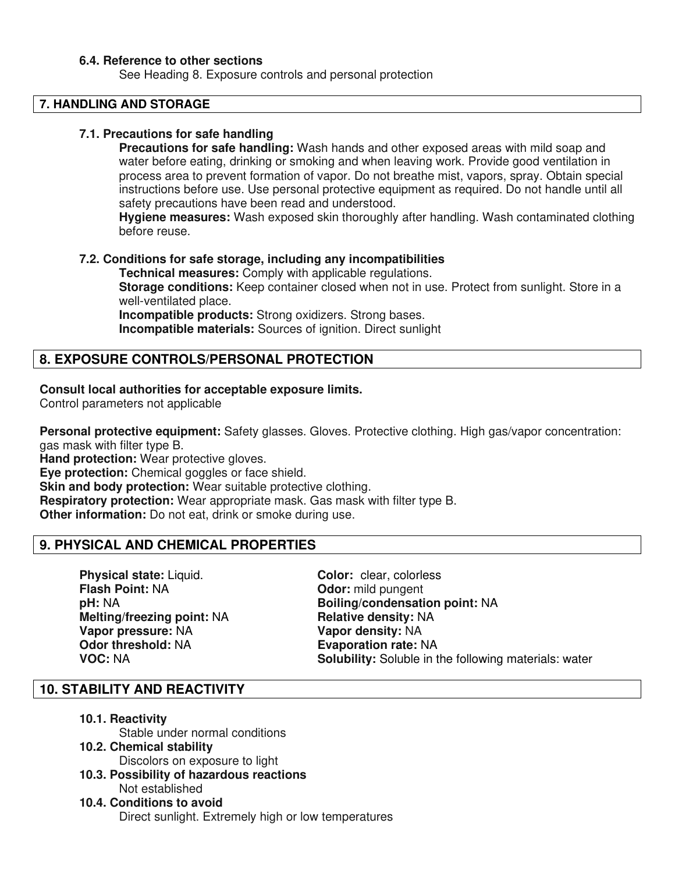#### **6.4. Reference to other sections**

See Heading 8. Exposure controls and personal protection

# **7. HANDLING AND STORAGE**

#### **7.1. Precautions for safe handling**

**Precautions for safe handling:** Wash hands and other exposed areas with mild soap and water before eating, drinking or smoking and when leaving work. Provide good ventilation in process area to prevent formation of vapor. Do not breathe mist, vapors, spray. Obtain special instructions before use. Use personal protective equipment as required. Do not handle until all safety precautions have been read and understood.

**Hygiene measures:** Wash exposed skin thoroughly after handling. Wash contaminated clothing before reuse.

#### **7.2. Conditions for safe storage, including any incompatibilities**

 **Technical measures:** Comply with applicable regulations. **Storage conditions:** Keep container closed when not in use. Protect from sunlight. Store in a well-ventilated place.

 **Incompatible products:** Strong oxidizers. Strong bases.  **Incompatible materials:** Sources of ignition. Direct sunlight

# **8. EXPOSURE CONTROLS/PERSONAL PROTECTION**

## **Consult local authorities for acceptable exposure limits.**

Control parameters not applicable

**Personal protective equipment:** Safety glasses. Gloves. Protective clothing. High gas/vapor concentration: gas mask with filter type B.

**Hand protection:** Wear protective gloves.

**Eye protection:** Chemical goggles or face shield.

**Skin and body protection:** Wear suitable protective clothing.

**Respiratory protection:** Wear appropriate mask. Gas mask with filter type B.

**Other information:** Do not eat, drink or smoke during use.

# **9. PHYSICAL AND CHEMICAL PROPERTIES**

**Physical state:** Liquid. **Color:** clear, colorless **Flash Point:** NA **Color: Color:** mild pungent **Melting/freezing point: NA <b>Relative density: NA Vapor pressure: NA <br>
Odor threshold: NA <b>Constantial Evaporation rate:** N<br> **Constantial Evaporation rate: N** 

**Odor:** mild pungent **pH:** NA **Boiling/condensation point:** NA **Evaporation rate: NA VOC: NA Solubility:** Soluble in the following materials: water

# **10. STABILITY AND REACTIVITY**

**10.1. Reactivity**

Stable under normal conditions

#### **10.2. Chemical stability**

Discolors on exposure to light

**10.3. Possibility of hazardous reactions**

Not established

#### **10.4. Conditions to avoid**

Direct sunlight. Extremely high or low temperatures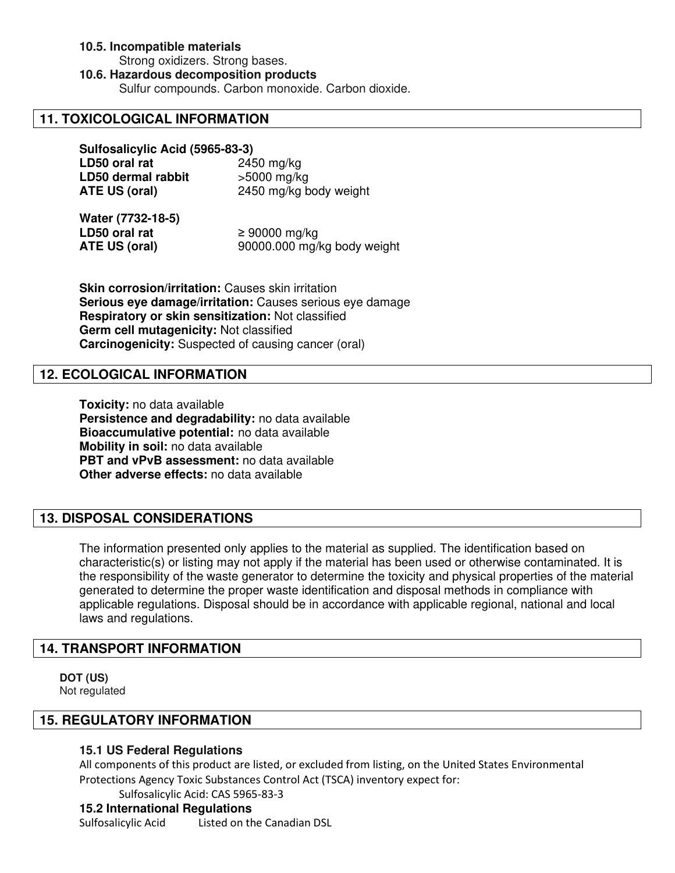# **10.5. Incompatible materials**

Strong oxidizers. Strong bases.

**10.6. Hazardous decomposition products**

Sulfur compounds. Carbon monoxide. Carbon dioxide.

# **11. TOXICOLOGICAL INFORMATION**

**Sulfosalicylic Acid (5965-83-3) LD50 oral rat** 2450 mg/kg **LD50 dermal rabbit** >5000 mg/kg **ATE US (oral)** 2450 mg/kg body weight

**Water (7732-18-5) LD50 oral rat** ≥ 90000 mg/kg **ATE US (oral)** 90000.000 mg/kg body weight

**Skin corrosion/irritation: Causes skin irritation Serious eye damage/irritation:** Causes serious eye damage **Respiratory or skin sensitization:** Not classified **Germ cell mutagenicity:** Not classified **Carcinogenicity:** Suspected of causing cancer (oral)

# **12. ECOLOGICAL INFORMATION**

**Toxicity:** no data available **Persistence and degradability:** no data available **Bioaccumulative potential:** no data available **Mobility in soil:** no data available **PBT and vPvB assessment:** no data available **Other adverse effects:** no data available

# **13. DISPOSAL CONSIDERATIONS**

The information presented only applies to the material as supplied. The identification based on characteristic(s) or listing may not apply if the material has been used or otherwise contaminated. It is the responsibility of the waste generator to determine the toxicity and physical properties of the material generated to determine the proper waste identification and disposal methods in compliance with applicable regulations. Disposal should be in accordance with applicable regional, national and local laws and regulations.

# **14. TRANSPORT INFORMATION**

**DOT (US)**  Not regulated

# **15. REGULATORY INFORMATION**

# **15.1 US Federal Regulations**

All components of this product are listed, or excluded from listing, on the United States Environmental Protections Agency Toxic Substances Control Act (TSCA) inventory expect for:

Sulfosalicylic Acid: CAS 5965-83-3

# **15.2 International Regulations**

Sulfosalicylic Acid Listed on the Canadian DSL